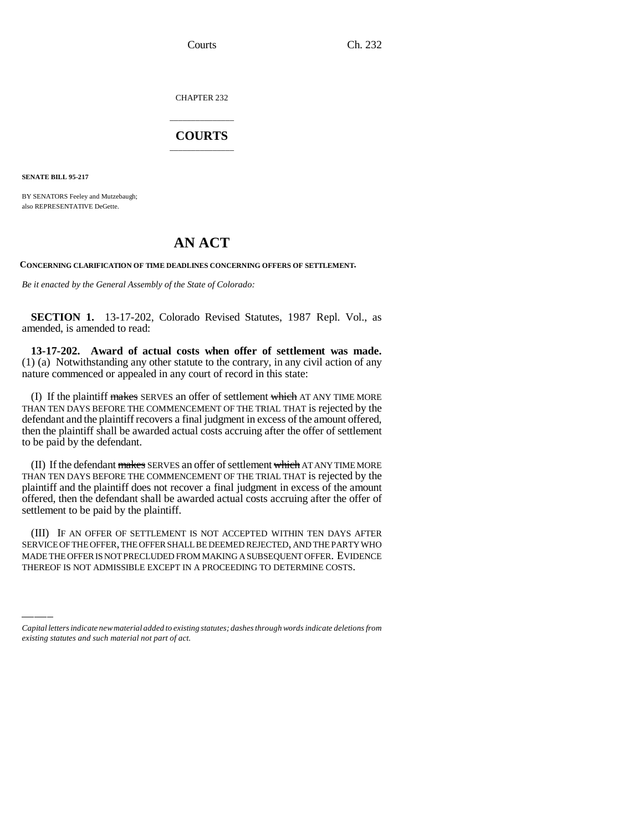CHAPTER 232

## \_\_\_\_\_\_\_\_\_\_\_\_\_\_\_ **COURTS** \_\_\_\_\_\_\_\_\_\_\_\_\_\_\_

**SENATE BILL 95-217**

BY SENATORS Feeley and Mutzebaugh; also REPRESENTATIVE DeGette.

## **AN ACT**

**CONCERNING CLARIFICATION OF TIME DEADLINES CONCERNING OFFERS OF SETTLEMENT.**

*Be it enacted by the General Assembly of the State of Colorado:*

**SECTION 1.** 13-17-202, Colorado Revised Statutes, 1987 Repl. Vol., as amended, is amended to read:

**13-17-202. Award of actual costs when offer of settlement was made.** (1) (a) Notwithstanding any other statute to the contrary, in any civil action of any nature commenced or appealed in any court of record in this state:

(I) If the plaintiff makes SERVES an offer of settlement which AT ANY TIME MORE THAN TEN DAYS BEFORE THE COMMENCEMENT OF THE TRIAL THAT is rejected by the defendant and the plaintiff recovers a final judgment in excess of the amount offered, then the plaintiff shall be awarded actual costs accruing after the offer of settlement to be paid by the defendant.

(II) If the defendant makes SERVES an offer of settlement which AT ANY TIME MORE THAN TEN DAYS BEFORE THE COMMENCEMENT OF THE TRIAL THAT is rejected by the plaintiff and the plaintiff does not recover a final judgment in excess of the amount offered, then the defendant shall be awarded actual costs accruing after the offer of settlement to be paid by the plaintiff.

SERVICE OF THE OFFER, THE OFFER SHALL BE DEEMED REJECTED, AND THE PARTY WHO (III) IF AN OFFER OF SETTLEMENT IS NOT ACCEPTED WITHIN TEN DAYS AFTER MADE THE OFFER IS NOT PRECLUDED FROM MAKING A SUBSEQUENT OFFER. EVIDENCE THEREOF IS NOT ADMISSIBLE EXCEPT IN A PROCEEDING TO DETERMINE COSTS.

*Capital letters indicate new material added to existing statutes; dashes through words indicate deletions from existing statutes and such material not part of act.*